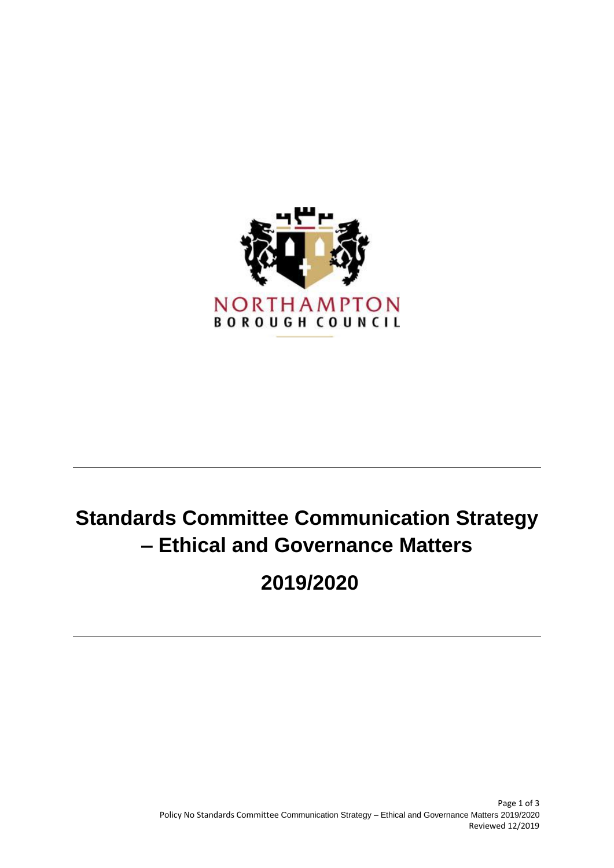

# **Standards Committee Communication Strategy – Ethical and Governance Matters**

**2019/2020**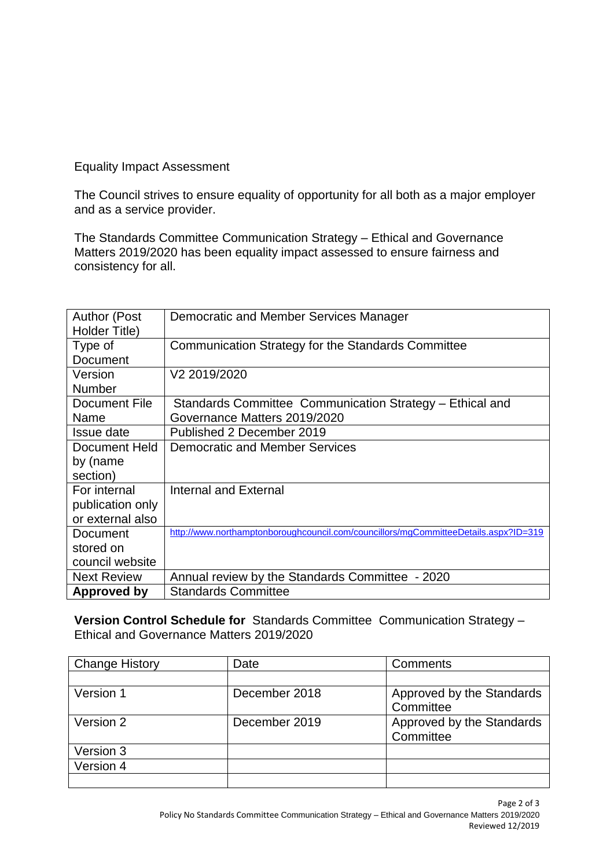Equality Impact Assessment

The Council strives to ensure equality of opportunity for all both as a major employer and as a service provider.

The Standards Committee Communication Strategy – Ethical and Governance Matters 2019/2020 has been equality impact assessed to ensure fairness and consistency for all.

| <b>Author (Post</b> | Democratic and Member Services Manager                                              |  |
|---------------------|-------------------------------------------------------------------------------------|--|
| Holder Title)       |                                                                                     |  |
| Type of             | Communication Strategy for the Standards Committee                                  |  |
| Document            |                                                                                     |  |
| Version             | V2 2019/2020                                                                        |  |
| <b>Number</b>       |                                                                                     |  |
| Document File       | Standards Committee Communication Strategy - Ethical and                            |  |
| Name                | Governance Matters 2019/2020                                                        |  |
| Issue date          | Published 2 December 2019                                                           |  |
| Document Held       | Democratic and Member Services                                                      |  |
| by (name            |                                                                                     |  |
| section)            |                                                                                     |  |
| For internal        | Internal and External                                                               |  |
| publication only    |                                                                                     |  |
| or external also    |                                                                                     |  |
| Document            | http://www.northamptonboroughcouncil.com/councillors/mgCommitteeDetails.aspx?ID=319 |  |
| stored on           |                                                                                     |  |
| council website     |                                                                                     |  |
| <b>Next Review</b>  | Annual review by the Standards Committee - 2020                                     |  |
| Approved by         | <b>Standards Committee</b>                                                          |  |

**Version Control Schedule for** Standards Committee Communication Strategy – Ethical and Governance Matters 2019/2020

| <b>Change History</b> | Date          | Comments                  |
|-----------------------|---------------|---------------------------|
|                       |               |                           |
| Version 1             | December 2018 | Approved by the Standards |
|                       |               | Committee                 |
| Version 2             | December 2019 | Approved by the Standards |
|                       |               | Committee                 |
| Version 3             |               |                           |
| Version 4             |               |                           |
|                       |               |                           |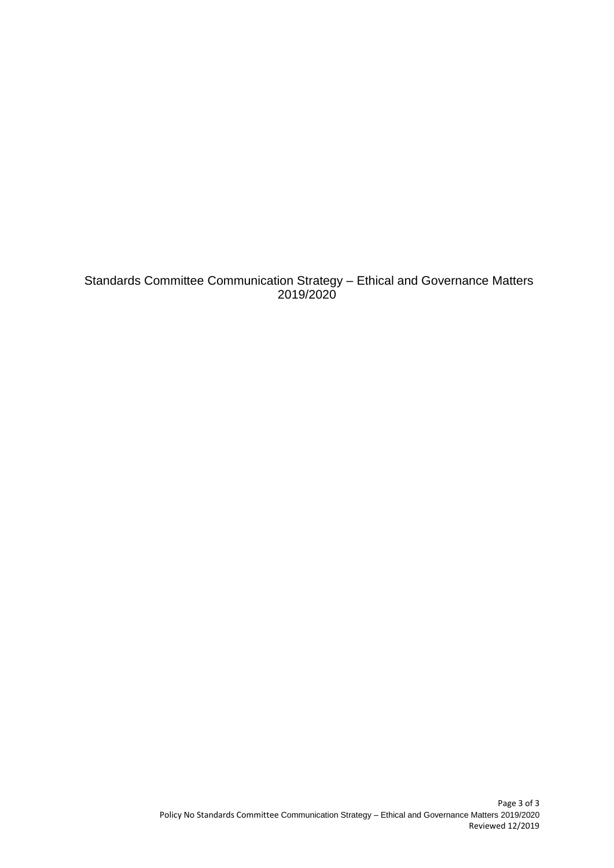Standards Committee Communication Strategy – Ethical and Governance Matters 2019/2020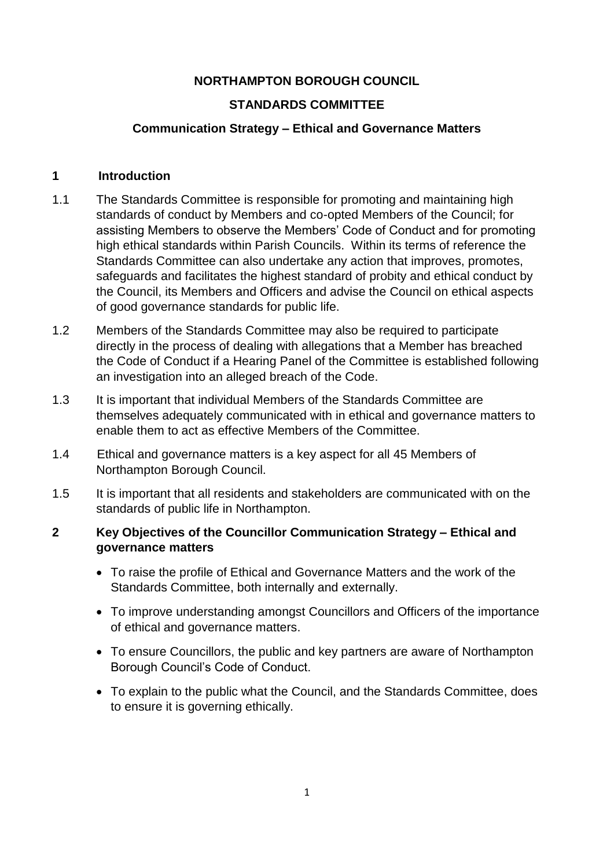#### **NORTHAMPTON BOROUGH COUNCIL**

#### **STANDARDS COMMITTEE**

#### **Communication Strategy – Ethical and Governance Matters**

#### **1 Introduction**

- 1.1 The Standards Committee is responsible for promoting and maintaining high standards of conduct by Members and co-opted Members of the Council; for assisting Members to observe the Members' Code of Conduct and for promoting high ethical standards within Parish Councils. Within its terms of reference the Standards Committee can also undertake any action that improves, promotes, safeguards and facilitates the highest standard of probity and ethical conduct by the Council, its Members and Officers and advise the Council on ethical aspects of good governance standards for public life.
- 1.2 Members of the Standards Committee may also be required to participate directly in the process of dealing with allegations that a Member has breached the Code of Conduct if a Hearing Panel of the Committee is established following an investigation into an alleged breach of the Code.
- 1.3 It is important that individual Members of the Standards Committee are themselves adequately communicated with in ethical and governance matters to enable them to act as effective Members of the Committee.
- 1.4 Ethical and governance matters is a key aspect for all 45 Members of Northampton Borough Council.
- 1.5 It is important that all residents and stakeholders are communicated with on the standards of public life in Northampton.

#### **2 Key Objectives of the Councillor Communication Strategy – Ethical and governance matters**

- To raise the profile of Ethical and Governance Matters and the work of the Standards Committee, both internally and externally.
- To improve understanding amongst Councillors and Officers of the importance of ethical and governance matters.
- To ensure Councillors, the public and key partners are aware of Northampton Borough Council's Code of Conduct.
- To explain to the public what the Council, and the Standards Committee, does to ensure it is governing ethically.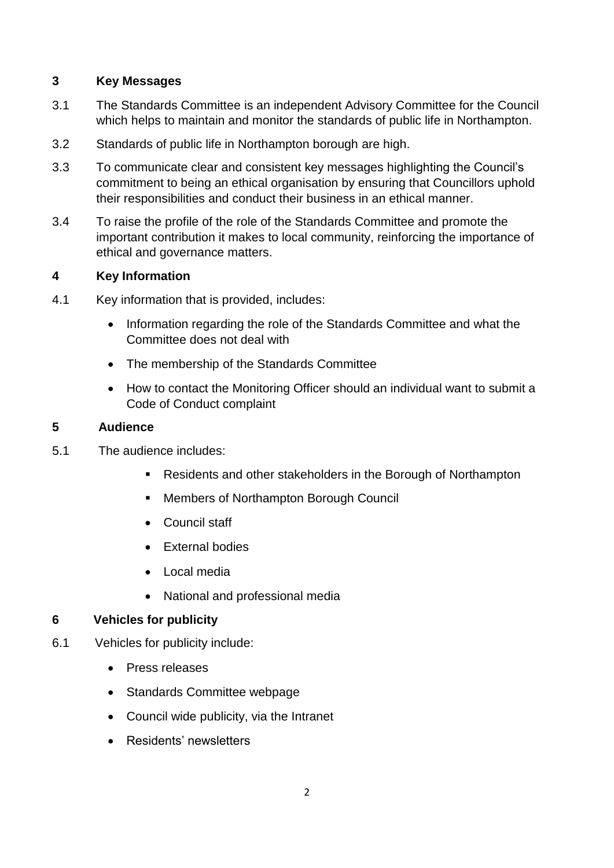## **3 Key Messages**

- 3.1 The Standards Committee is an independent Advisory Committee for the Council which helps to maintain and monitor the standards of public life in Northampton.
- 3.2 Standards of public life in Northampton borough are high.
- 3.3 To communicate clear and consistent key messages highlighting the Council's commitment to being an ethical organisation by ensuring that Councillors uphold their responsibilities and conduct their business in an ethical manner.
- 3.4 To raise the profile of the role of the Standards Committee and promote the important contribution it makes to local community, reinforcing the importance of ethical and governance matters.

## **4 Key Information**

- 4.1 Key information that is provided, includes:
	- Information regarding the role of the Standards Committee and what the Committee does not deal with
	- The membership of the Standards Committee
	- How to contact the Monitoring Officer should an individual want to submit a Code of Conduct complaint

#### **5 Audience**

- 5.1 The audience includes:
	- Residents and other stakeholders in the Borough of Northampton
	- **Members of Northampton Borough Council**
	- Council staff
	- External bodies
	- Local media
	- National and professional media

## **6 Vehicles for publicity**

- 6.1 Vehicles for publicity include:
	- Press releases
	- Standards Committee webpage
	- Council wide publicity, via the Intranet
	- Residents' newsletters